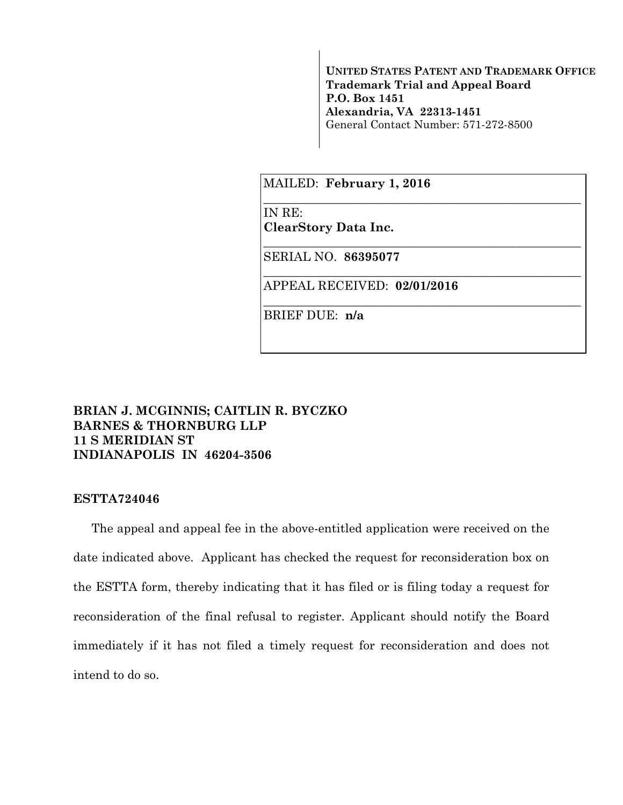**UNITED STATES PATENT AND TRADEMARK OFFICE Trademark Trial and Appeal Board P.O. Box 1451 Alexandria, VA 22313-1451**  General Contact Number: 571-272-8500

\_\_\_\_\_\_\_\_\_\_\_\_\_\_\_\_\_\_\_\_\_\_\_\_\_\_\_\_\_\_\_\_\_\_\_\_\_\_\_\_\_\_\_\_\_\_\_\_\_\_\_\_

\_\_\_\_\_\_\_\_\_\_\_\_\_\_\_\_\_\_\_\_\_\_\_\_\_\_\_\_\_\_\_\_\_\_\_\_\_\_\_\_\_\_\_\_\_\_\_\_\_\_\_\_

\_\_\_\_\_\_\_\_\_\_\_\_\_\_\_\_\_\_\_\_\_\_\_\_\_\_\_\_\_\_\_\_\_\_\_\_\_\_\_\_\_\_\_\_\_\_\_\_\_\_\_\_

\_\_\_\_\_\_\_\_\_\_\_\_\_\_\_\_\_\_\_\_\_\_\_\_\_\_\_\_\_\_\_\_\_\_\_\_\_\_\_\_\_\_\_\_\_\_\_\_\_\_\_\_

MAILED: **February 1, 2016**

IN RE:

**ClearStory Data Inc.** 

SERIAL NO. **86395077** 

APPEAL RECEIVED: **02/01/2016**

BRIEF DUE: **n/a** 

## **BRIAN J. MCGINNIS; CAITLIN R. BYCZKO BARNES & THORNBURG LLP 11 S MERIDIAN ST INDIANAPOLIS IN 46204-3506**

## **ESTTA724046**

The appeal and appeal fee in the above-entitled application were received on the date indicated above. Applicant has checked the request for reconsideration box on the ESTTA form, thereby indicating that it has filed or is filing today a request for reconsideration of the final refusal to register. Applicant should notify the Board immediately if it has not filed a timely request for reconsideration and does not intend to do so.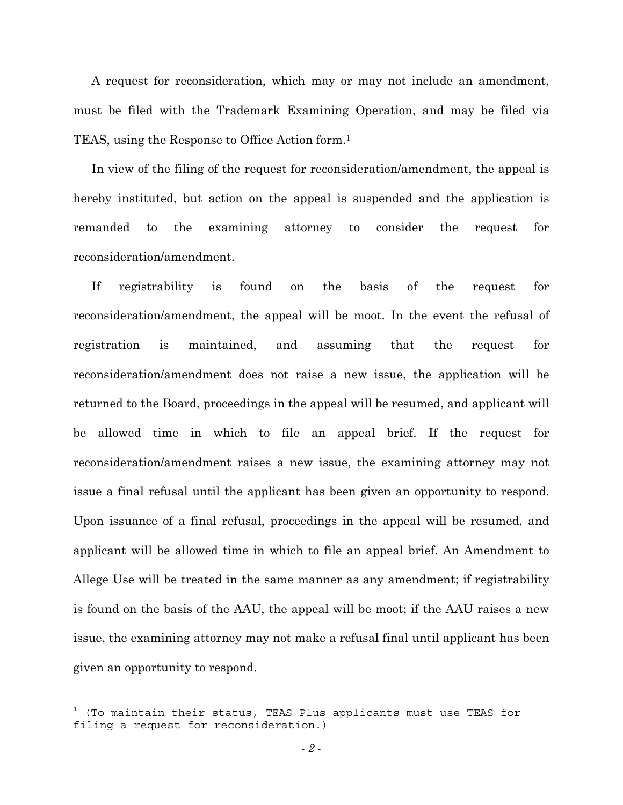A request for reconsideration, which may or may not include an amendment, must be filed with the Trademark Examining Operation, and may be filed via TEAS, using the Response to Office Action form.1

In view of the filing of the request for reconsideration/amendment, the appeal is hereby instituted, but action on the appeal is suspended and the application is remanded to the examining attorney to consider the request for reconsideration/amendment.

If registrability is found on the basis of the request for reconsideration/amendment, the appeal will be moot. In the event the refusal of registration is maintained, and assuming that the request for reconsideration/amendment does not raise a new issue, the application will be returned to the Board, proceedings in the appeal will be resumed, and applicant will be allowed time in which to file an appeal brief. If the request for reconsideration/amendment raises a new issue, the examining attorney may not issue a final refusal until the applicant has been given an opportunity to respond. Upon issuance of a final refusal, proceedings in the appeal will be resumed, and applicant will be allowed time in which to file an appeal brief. An Amendment to Allege Use will be treated in the same manner as any amendment; if registrability is found on the basis of the AAU, the appeal will be moot; if the AAU raises a new issue, the examining attorney may not make a refusal final until applicant has been given an opportunity to respond.

 $^{\rm 1}$  (To maintain their status, TEAS Plus applicants must use TEAS for filing a request for reconsideration.)